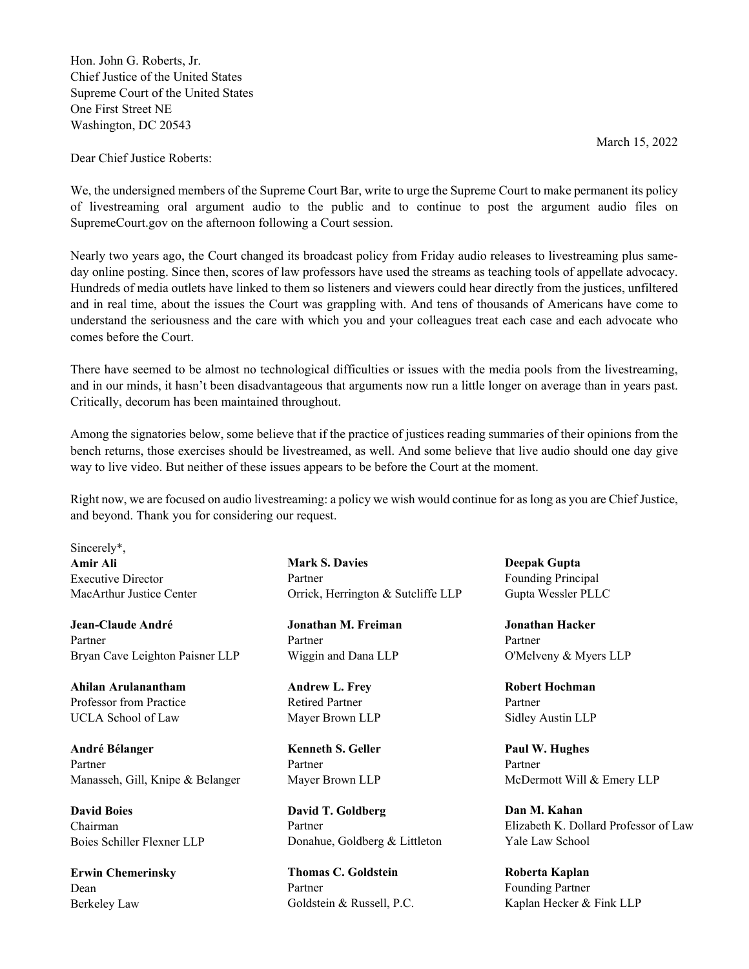Hon. John G. Roberts, Jr. Chief Justice of the United States Supreme Court of the United States One First Street NE Washington, DC 20543

Dear Chief Justice Roberts:

We, the undersigned members of the Supreme Court Bar, write to urge the Supreme Court to make permanent its policy of livestreaming oral argument audio to the public and to continue to post the argument audio files on SupremeCourt.gov on the afternoon following a Court session.

Nearly two years ago, the Court changed its broadcast policy from Friday audio releases to livestreaming plus sameday online posting. Since then, scores of law professors have used the streams as teaching tools of appellate advocacy. Hundreds of media outlets have linked to them so listeners and viewers could hear directly from the justices, unfiltered and in real time, about the issues the Court was grappling with. And tens of thousands of Americans have come to understand the seriousness and the care with which you and your colleagues treat each case and each advocate who comes before the Court.

There have seemed to be almost no technological difficulties or issues with the media pools from the livestreaming, and in our minds, it hasn't been disadvantageous that arguments now run a little longer on average than in years past. Critically, decorum has been maintained throughout.

Among the signatories below, some believe that if the practice of justices reading summaries of their opinions from the bench returns, those exercises should be livestreamed, as well. And some believe that live audio should one day give way to live video. But neither of these issues appears to be before the Court at the moment.

Right now, we are focused on audio livestreaming: a policy we wish would continue for as long as you are Chief Justice, and beyond. Thank you for considering our request.

Sincerely\*, **Amir Ali**  Executive Director MacArthur Justice Center

**Jean-Claude André** Partner Bryan Cave Leighton Paisner LLP

**Ahilan Arulanantham** Professor from Practice UCLA School of Law

**André Bélanger**  Partner Manasseh, Gill, Knipe & Belanger

**David Boies** Chairman Boies Schiller Flexner LLP

**Erwin Chemerinsky** Dean Berkeley Law

**Mark S. Davies** Partner Orrick, Herrington & Sutcliffe LLP

**Jonathan M. Freiman** Partner Wiggin and Dana LLP

**Andrew L. Frey** Retired Partner Mayer Brown LLP

**Kenneth S. Geller** Partner Mayer Brown LLP

**David T. Goldberg** Partner Donahue, Goldberg & Littleton

**Thomas C. Goldstein** Partner Goldstein & Russell, P.C. **Deepak Gupta** Founding Principal Gupta Wessler PLLC

**Jonathan Hacker** Partner O'Melveny & Myers LLP

**Robert Hochman** Partner Sidley Austin LLP

**Paul W. Hughes** Partner McDermott Will & Emery LLP

**Dan M. Kahan** Elizabeth K. Dollard Professor of Law Yale Law School

**Roberta Kaplan** Founding Partner Kaplan Hecker & Fink LLP

March 15, 2022